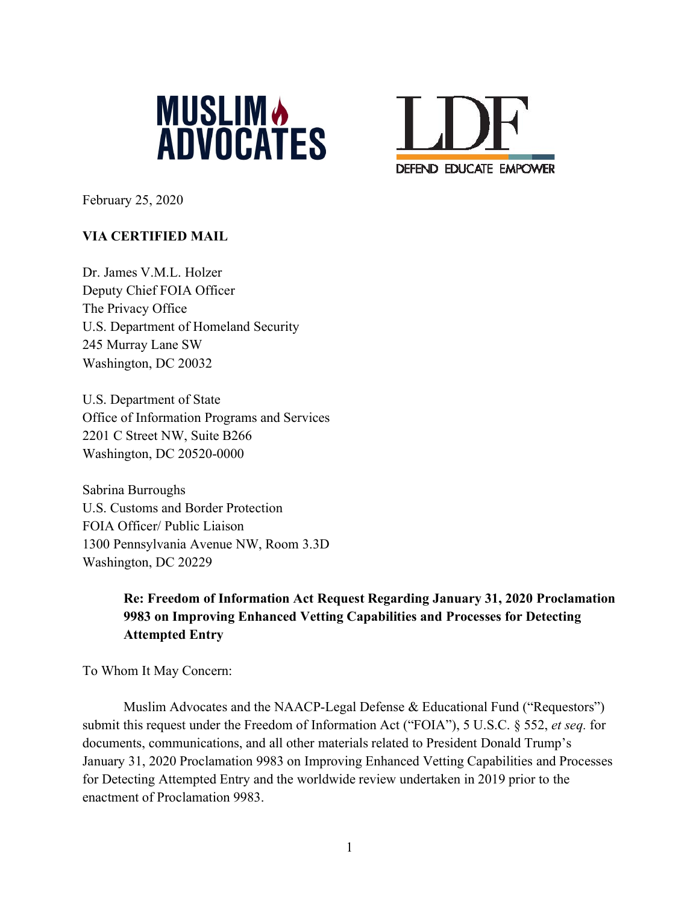



February 25, 2020

## **VIA CERTIFIED MAIL**

Dr. James V.M.L. Holzer Deputy Chief FOIA Officer The Privacy Office U.S. Department of Homeland Security 245 Murray Lane SW Washington, DC 20032

U.S. Department of State Office of Information Programs and Services 2201 C Street NW, Suite B266 Washington, DC 20520-0000

Sabrina Burroughs U.S. Customs and Border Protection FOIA Officer/ Public Liaison 1300 Pennsylvania Avenue NW, Room 3.3D Washington, DC 20229

# **Re: Freedom of Information Act Request Regarding January 31, 2020 Proclamation 9983 on Improving Enhanced Vetting Capabilities and Processes for Detecting Attempted Entry**

To Whom It May Concern:

Muslim Advocates and the NAACP-Legal Defense & Educational Fund ("Requestors") submit this request under the Freedom of Information Act ("FOIA"), 5 U.S.C. § 552, *et seq.* for documents, communications, and all other materials related to President Donald Trump's January 31, 2020 Proclamation 9983 on Improving Enhanced Vetting Capabilities and Processes for Detecting Attempted Entry and the worldwide review undertaken in 2019 prior to the enactment of Proclamation 9983.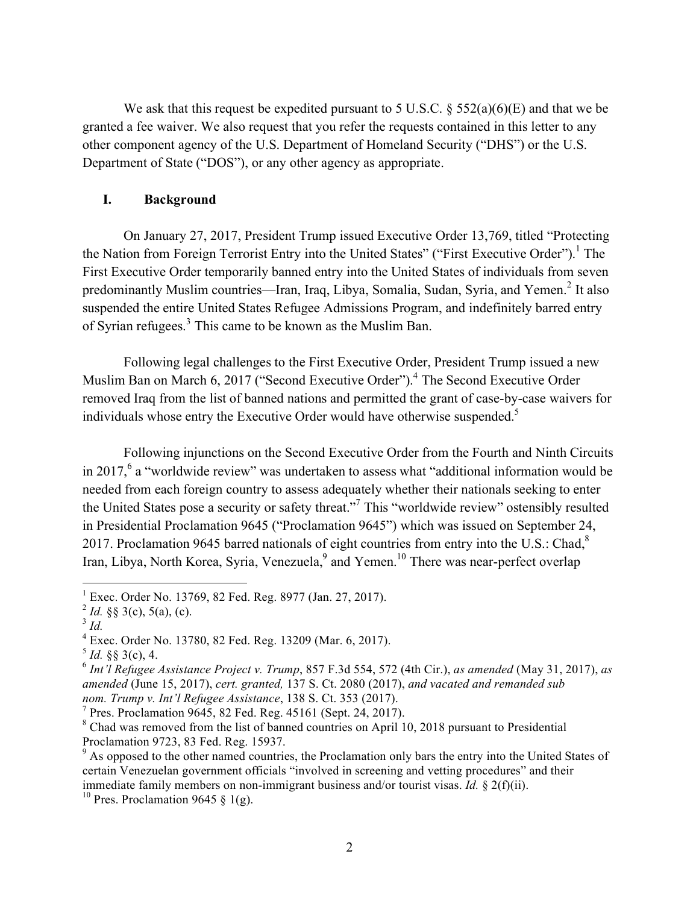We ask that this request be expedited pursuant to 5 U.S.C.  $\S$  552(a)(6)(E) and that we be granted a fee waiver. We also request that you refer the requests contained in this letter to any other component agency of the U.S. Department of Homeland Security ("DHS") or the U.S. Department of State ("DOS"), or any other agency as appropriate.

#### **I. Background**

On January 27, 2017, President Trump issued Executive Order 13,769, titled "Protecting the Nation from Foreign Terrorist Entry into the United States" ("First Executive Order").<sup>1</sup> The First Executive Order temporarily banned entry into the United States of individuals from seven predominantly Muslim countries—Iran, Iraq, Libya, Somalia, Sudan, Syria, and Yemen.<sup>2</sup> It also suspended the entire United States Refugee Admissions Program, and indefinitely barred entry of Syrian refugees.<sup>3</sup> This came to be known as the Muslim Ban.

Following legal challenges to the First Executive Order, President Trump issued a new Muslim Ban on March 6, 2017 ("Second Executive Order").<sup>4</sup> The Second Executive Order removed Iraq from the list of banned nations and permitted the grant of case-by-case waivers for individuals whose entry the Executive Order would have otherwise suspended.<sup>5</sup>

Following injunctions on the Second Executive Order from the Fourth and Ninth Circuits in 2017,<sup>6</sup> a "worldwide review" was undertaken to assess what "additional information would be needed from each foreign country to assess adequately whether their nationals seeking to enter the United States pose a security or safety threat."7 This "worldwide review" ostensibly resulted in Presidential Proclamation 9645 ("Proclamation 9645") which was issued on September 24, 2017. Proclamation 9645 barred nationals of eight countries from entry into the U.S.: Chad, $^8$ Iran, Libya, North Korea, Syria, Venezuela, and Yemen.<sup>10</sup> There was near-perfect overlap

<sup>&</sup>lt;sup>1</sup> Exec. Order No. 13769, 82 Fed. Reg. 8977 (Jan. 27, 2017).

 $^{2}$  *Id.* §§ 3(c), 5(a), (c).

<sup>3</sup> *Id.*

<sup>4</sup> Exec. Order No. 13780, 82 Fed. Reg. 13209 (Mar. 6, 2017).

 $5$  *Id.* §§ 3(c), 4.

<sup>6</sup> *Int'l Refugee Assistance Project v. Trump*, 857 F.3d 554, 572 (4th Cir.), *as amended* (May 31, 2017), *as amended* (June 15, 2017), *cert. granted,* 137 S. Ct. 2080 (2017), *and vacated and remanded sub nom. Trump v. Int'l Refugee Assistance*, 138 S. Ct. 353 (2017).

<sup>&</sup>lt;sup>7</sup> Pres. Proclamation 9645, 82 Fed. Reg. 45161 (Sept. 24, 2017).

<sup>&</sup>lt;sup>8</sup> Chad was removed from the list of banned countries on April 10, 2018 pursuant to Presidential Proclamation 9723, 83 Fed. Reg. 15937.

<sup>&</sup>lt;sup>9</sup> As opposed to the other named countries, the Proclamation only bars the entry into the United States of certain Venezuelan government officials "involved in screening and vetting procedures" and their immediate family members on non-immigrant business and/or tourist visas. *Id.* § 2(f)(ii).

<sup>&</sup>lt;sup>10</sup> Pres. Proclamation 9645 § 1(g).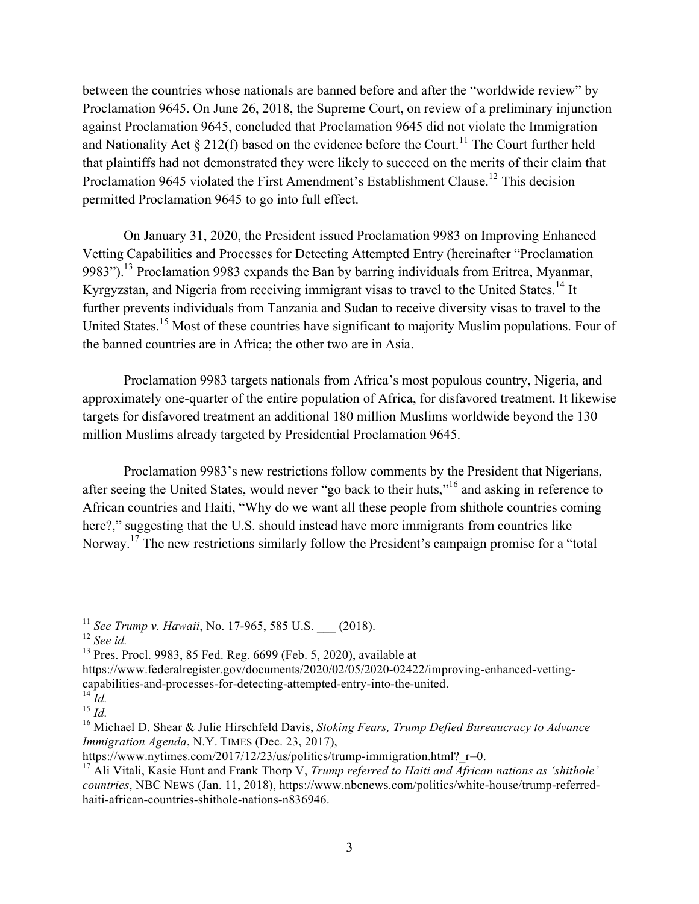between the countries whose nationals are banned before and after the "worldwide review" by Proclamation 9645. On June 26, 2018, the Supreme Court, on review of a preliminary injunction against Proclamation 9645, concluded that Proclamation 9645 did not violate the Immigration and Nationality Act  $\S 212(f)$  based on the evidence before the Court.<sup>11</sup> The Court further held that plaintiffs had not demonstrated they were likely to succeed on the merits of their claim that Proclamation 9645 violated the First Amendment's Establishment Clause.<sup>12</sup> This decision permitted Proclamation 9645 to go into full effect.

On January 31, 2020, the President issued Proclamation 9983 on Improving Enhanced Vetting Capabilities and Processes for Detecting Attempted Entry (hereinafter "Proclamation 9983").<sup>13</sup> Proclamation 9983 expands the Ban by barring individuals from Eritrea, Myanmar, Kyrgyzstan, and Nigeria from receiving immigrant visas to travel to the United States.<sup>14</sup> It further prevents individuals from Tanzania and Sudan to receive diversity visas to travel to the United States.<sup>15</sup> Most of these countries have significant to majority Muslim populations. Four of the banned countries are in Africa; the other two are in Asia.

Proclamation 9983 targets nationals from Africa's most populous country, Nigeria, and approximately one-quarter of the entire population of Africa, for disfavored treatment. It likewise targets for disfavored treatment an additional 180 million Muslims worldwide beyond the 130 million Muslims already targeted by Presidential Proclamation 9645.

Proclamation 9983's new restrictions follow comments by the President that Nigerians, after seeing the United States, would never "go back to their huts,"<sup>16</sup> and asking in reference to African countries and Haiti, "Why do we want all these people from shithole countries coming here?," suggesting that the U.S. should instead have more immigrants from countries like Norway.<sup>17</sup> The new restrictions similarly follow the President's campaign promise for a "total"

 <sup>11</sup> *See Trump v. Hawaii*, No. 17-965, <sup>585</sup> U.S. \_\_\_ (2018).

<sup>12</sup> *See id.*

 $13$  Pres. Procl. 9983, 85 Fed. Reg. 6699 (Feb. 5, 2020), available at

https://www.federalregister.gov/documents/2020/02/05/2020-02422/improving-enhanced-vettingcapabilities-and-processes-for-detecting-attempted-entry-into-the-united.

 $^{14}$  *Id.* 

<sup>15</sup> *Id.*

<sup>16</sup> Michael D. Shear & Julie Hirschfeld Davis, *Stoking Fears, Trump Defied Bureaucracy to Advance Immigration Agenda*, N.Y. TIMES (Dec. 23, 2017),

https://www.nytimes.com/2017/12/23/us/politics/trump-immigration.html? r=0.

<sup>17</sup> Ali Vitali, Kasie Hunt and Frank Thorp V, *Trump referred to Haiti and African nations as 'shithole' countries*, NBC NEWS (Jan. 11, 2018), https://www.nbcnews.com/politics/white-house/trump-referredhaiti-african-countries-shithole-nations-n836946.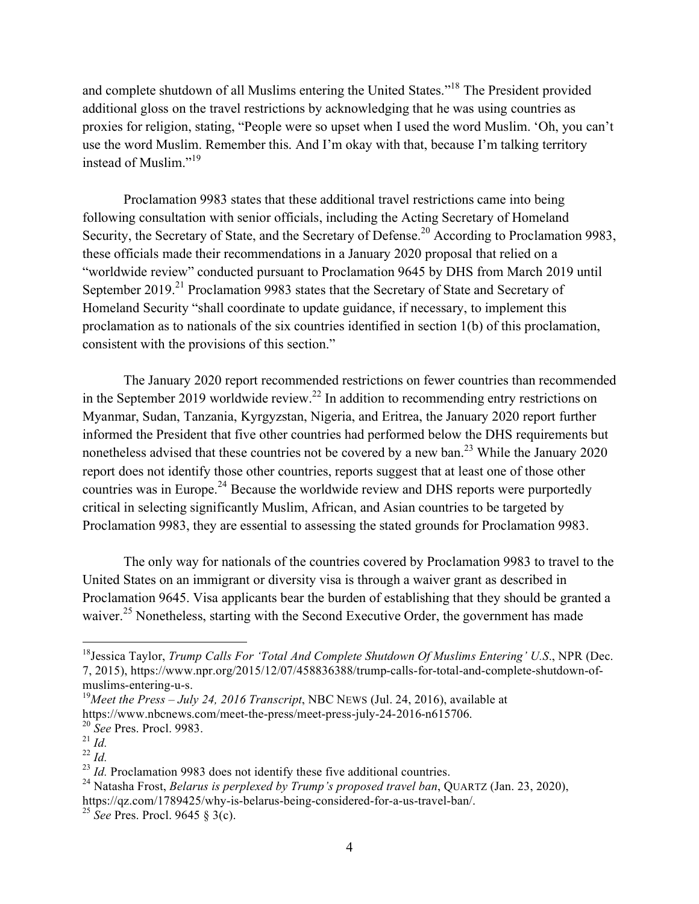and complete shutdown of all Muslims entering the United States."<sup>18</sup> The President provided additional gloss on the travel restrictions by acknowledging that he was using countries as proxies for religion, stating, "People were so upset when I used the word Muslim. 'Oh, you can't use the word Muslim. Remember this. And I'm okay with that, because I'm talking territory instead of Muslim."<sup>19</sup>

Proclamation 9983 states that these additional travel restrictions came into being following consultation with senior officials, including the Acting Secretary of Homeland Security, the Secretary of State, and the Secretary of Defense.<sup>20</sup> According to Proclamation 9983, these officials made their recommendations in a January 2020 proposal that relied on a "worldwide review" conducted pursuant to Proclamation 9645 by DHS from March 2019 until September 2019.<sup>21</sup> Proclamation 9983 states that the Secretary of State and Secretary of Homeland Security "shall coordinate to update guidance, if necessary, to implement this proclamation as to nationals of the six countries identified in section 1(b) of this proclamation, consistent with the provisions of this section."

The January 2020 report recommended restrictions on fewer countries than recommended in the September 2019 worldwide review.<sup>22</sup> In addition to recommending entry restrictions on Myanmar, Sudan, Tanzania, Kyrgyzstan, Nigeria, and Eritrea, the January 2020 report further informed the President that five other countries had performed below the DHS requirements but nonetheless advised that these countries not be covered by a new ban.<sup>23</sup> While the January 2020 report does not identify those other countries, reports suggest that at least one of those other countries was in Europe.<sup>24</sup> Because the worldwide review and DHS reports were purportedly critical in selecting significantly Muslim, African, and Asian countries to be targeted by Proclamation 9983, they are essential to assessing the stated grounds for Proclamation 9983.

The only way for nationals of the countries covered by Proclamation 9983 to travel to the United States on an immigrant or diversity visa is through a waiver grant as described in Proclamation 9645. Visa applicants bear the burden of establishing that they should be granted a waiver.<sup>25</sup> Nonetheless, starting with the Second Executive Order, the government has made

 <sup>18</sup>Jessica Taylor, *Trump Calls For 'Total And Complete Shutdown Of Muslims Entering' U.S*., NPR (Dec. 7, 2015), https://www.npr.org/2015/12/07/458836388/trump-calls-for-total-and-complete-shutdown-ofmuslims-entering-u-s.

<sup>19</sup>*Meet the Press – July 24, 2016 Transcript*, NBC NEWS (Jul. 24, 2016), available at https://www.nbcnews.com/meet-the-press/meet-press-july-24-2016-n615706.

<sup>20</sup> *See* Pres. Procl. 9983.

 $^{21}$   $\frac{1}{d}$ .

<sup>22</sup> *Id.*

<sup>&</sup>lt;sup>23</sup> *Id.* Proclamation 9983 does not identify these five additional countries.

<sup>24</sup> Natasha Frost, *Belarus is perplexed by Trump's proposed travel ban*, QUARTZ (Jan. 23, 2020),

https://qz.com/1789425/why-is-belarus-being-considered-for-a-us-travel-ban/. <sup>25</sup> *See* Pres. Procl. <sup>9645</sup> § 3(c).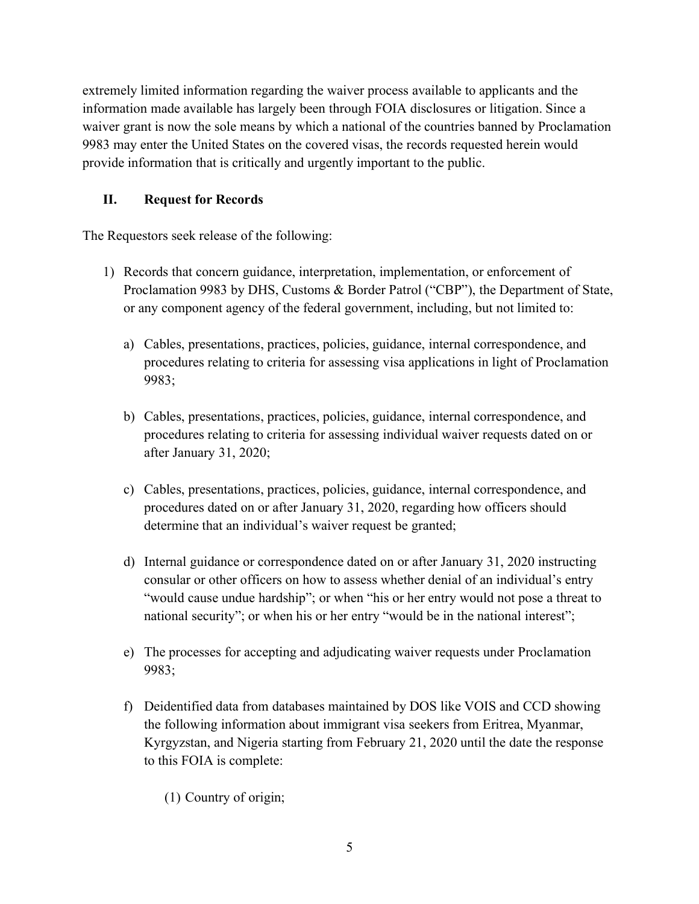extremely limited information regarding the waiver process available to applicants and the information made available has largely been through FOIA disclosures or litigation. Since a waiver grant is now the sole means by which a national of the countries banned by Proclamation 9983 may enter the United States on the covered visas, the records requested herein would provide information that is critically and urgently important to the public.

## **II. Request for Records**

The Requestors seek release of the following:

- 1) Records that concern guidance, interpretation, implementation, or enforcement of Proclamation 9983 by DHS, Customs & Border Patrol ("CBP"), the Department of State, or any component agency of the federal government, including, but not limited to:
	- a) Cables, presentations, practices, policies, guidance, internal correspondence, and procedures relating to criteria for assessing visa applications in light of Proclamation 9983;
	- b) Cables, presentations, practices, policies, guidance, internal correspondence, and procedures relating to criteria for assessing individual waiver requests dated on or after January 31, 2020;
	- c) Cables, presentations, practices, policies, guidance, internal correspondence, and procedures dated on or after January 31, 2020, regarding how officers should determine that an individual's waiver request be granted;
	- d) Internal guidance or correspondence dated on or after January 31, 2020 instructing consular or other officers on how to assess whether denial of an individual's entry "would cause undue hardship"; or when "his or her entry would not pose a threat to national security"; or when his or her entry "would be in the national interest";
	- e) The processes for accepting and adjudicating waiver requests under Proclamation 9983;
	- f) Deidentified data from databases maintained by DOS like VOIS and CCD showing the following information about immigrant visa seekers from Eritrea, Myanmar, Kyrgyzstan, and Nigeria starting from February 21, 2020 until the date the response to this FOIA is complete:
		- (1) Country of origin;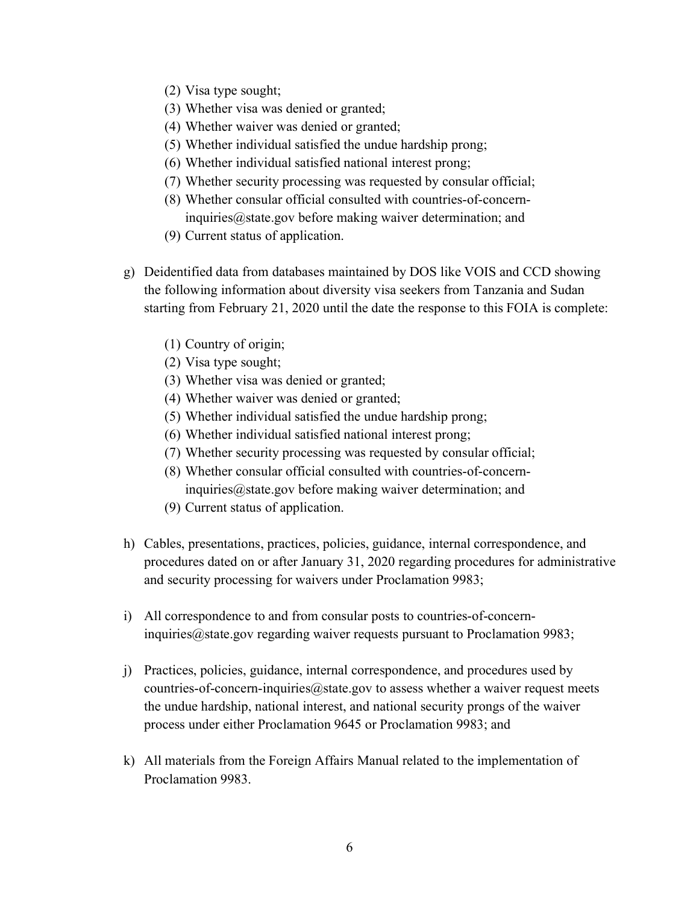- (2) Visa type sought;
- (3) Whether visa was denied or granted;
- (4) Whether waiver was denied or granted;
- (5) Whether individual satisfied the undue hardship prong;
- (6) Whether individual satisfied national interest prong;
- (7) Whether security processing was requested by consular official;
- (8) Whether consular official consulted with countries-of-concerninquiries@state.gov before making waiver determination; and
- (9) Current status of application.
- g) Deidentified data from databases maintained by DOS like VOIS and CCD showing the following information about diversity visa seekers from Tanzania and Sudan starting from February 21, 2020 until the date the response to this FOIA is complete:
	- (1) Country of origin;
	- (2) Visa type sought;
	- (3) Whether visa was denied or granted;
	- (4) Whether waiver was denied or granted;
	- (5) Whether individual satisfied the undue hardship prong;
	- (6) Whether individual satisfied national interest prong;
	- (7) Whether security processing was requested by consular official;
	- (8) Whether consular official consulted with countries-of-concerninquiries@state.gov before making waiver determination; and
	- (9) Current status of application.
- h) Cables, presentations, practices, policies, guidance, internal correspondence, and procedures dated on or after January 31, 2020 regarding procedures for administrative and security processing for waivers under Proclamation 9983;
- i) All correspondence to and from consular posts to countries-of-concerninquiries@state.gov regarding waiver requests pursuant to Proclamation 9983;
- j) Practices, policies, guidance, internal correspondence, and procedures used by countries-of-concern-inquiries $@$ state.gov to assess whether a waiver request meets the undue hardship, national interest, and national security prongs of the waiver process under either Proclamation 9645 or Proclamation 9983; and
- k) All materials from the Foreign Affairs Manual related to the implementation of Proclamation 9983.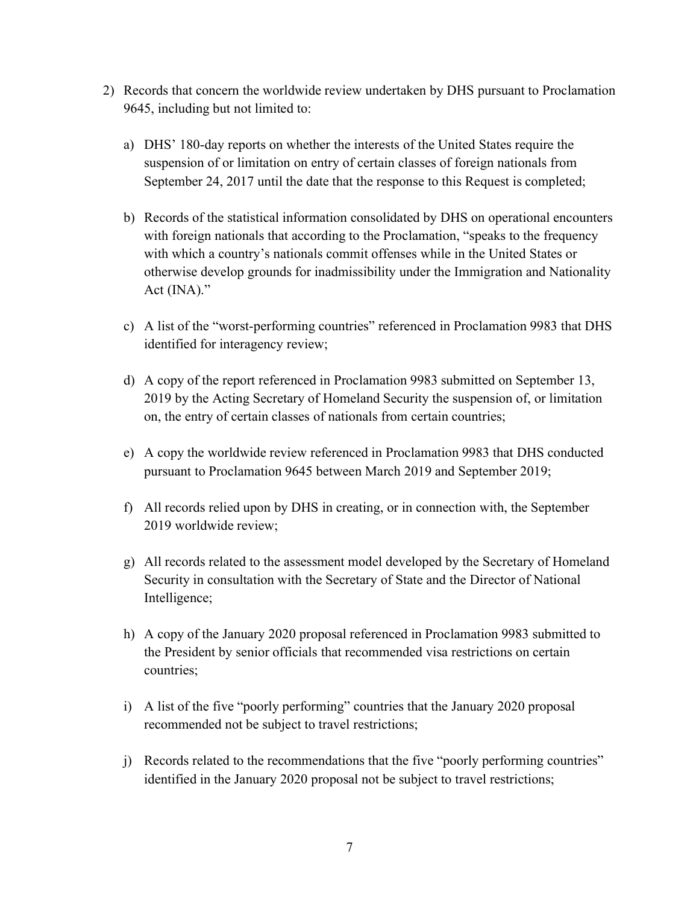- 2) Records that concern the worldwide review undertaken by DHS pursuant to Proclamation 9645, including but not limited to:
	- a) DHS' 180-day reports on whether the interests of the United States require the suspension of or limitation on entry of certain classes of foreign nationals from September 24, 2017 until the date that the response to this Request is completed;
	- b) Records of the statistical information consolidated by DHS on operational encounters with foreign nationals that according to the Proclamation, "speaks to the frequency with which a country's nationals commit offenses while in the United States or otherwise develop grounds for inadmissibility under the Immigration and Nationality Act (INA)."
	- c) A list of the "worst-performing countries" referenced in Proclamation 9983 that DHS identified for interagency review;
	- d) A copy of the report referenced in Proclamation 9983 submitted on September 13, 2019 by the Acting Secretary of Homeland Security the suspension of, or limitation on, the entry of certain classes of nationals from certain countries;
	- e) A copy the worldwide review referenced in Proclamation 9983 that DHS conducted pursuant to Proclamation 9645 between March 2019 and September 2019;
	- f) All records relied upon by DHS in creating, or in connection with, the September 2019 worldwide review;
	- g) All records related to the assessment model developed by the Secretary of Homeland Security in consultation with the Secretary of State and the Director of National Intelligence;
	- h) A copy of the January 2020 proposal referenced in Proclamation 9983 submitted to the President by senior officials that recommended visa restrictions on certain countries;
	- i) A list of the five "poorly performing" countries that the January 2020 proposal recommended not be subject to travel restrictions;
	- j) Records related to the recommendations that the five "poorly performing countries" identified in the January 2020 proposal not be subject to travel restrictions;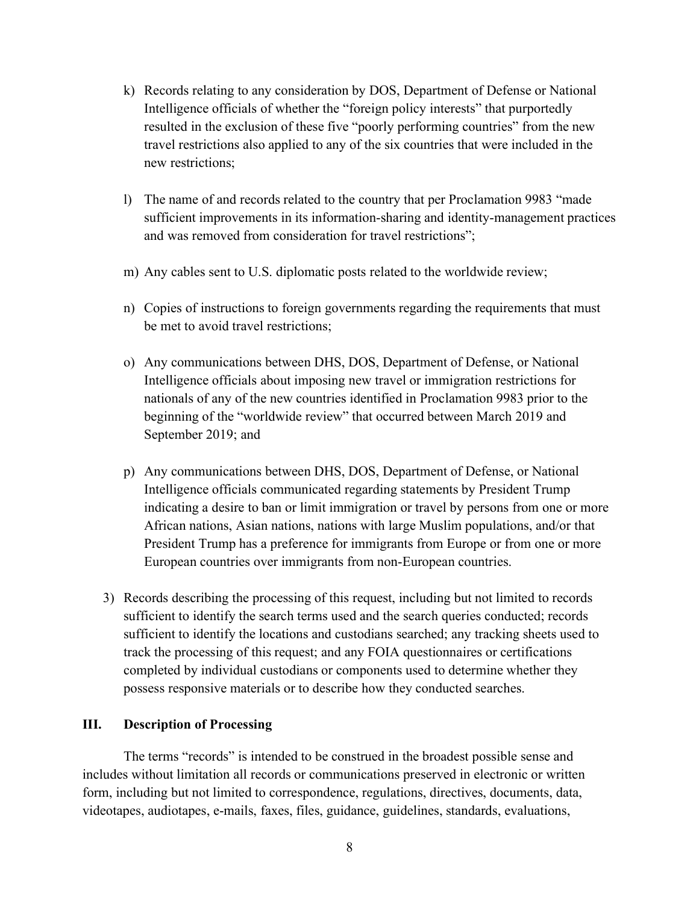- k) Records relating to any consideration by DOS, Department of Defense or National Intelligence officials of whether the "foreign policy interests" that purportedly resulted in the exclusion of these five "poorly performing countries" from the new travel restrictions also applied to any of the six countries that were included in the new restrictions;
- l) The name of and records related to the country that per Proclamation 9983 "made sufficient improvements in its information-sharing and identity-management practices and was removed from consideration for travel restrictions";
- m) Any cables sent to U.S. diplomatic posts related to the worldwide review;
- n) Copies of instructions to foreign governments regarding the requirements that must be met to avoid travel restrictions;
- o) Any communications between DHS, DOS, Department of Defense, or National Intelligence officials about imposing new travel or immigration restrictions for nationals of any of the new countries identified in Proclamation 9983 prior to the beginning of the "worldwide review" that occurred between March 2019 and September 2019; and
- p) Any communications between DHS, DOS, Department of Defense, or National Intelligence officials communicated regarding statements by President Trump indicating a desire to ban or limit immigration or travel by persons from one or more African nations, Asian nations, nations with large Muslim populations, and/or that President Trump has a preference for immigrants from Europe or from one or more European countries over immigrants from non-European countries.
- 3) Records describing the processing of this request, including but not limited to records sufficient to identify the search terms used and the search queries conducted; records sufficient to identify the locations and custodians searched; any tracking sheets used to track the processing of this request; and any FOIA questionnaires or certifications completed by individual custodians or components used to determine whether they possess responsive materials or to describe how they conducted searches.

### **III. Description of Processing**

The terms "records" is intended to be construed in the broadest possible sense and includes without limitation all records or communications preserved in electronic or written form, including but not limited to correspondence, regulations, directives, documents, data, videotapes, audiotapes, e-mails, faxes, files, guidance, guidelines, standards, evaluations,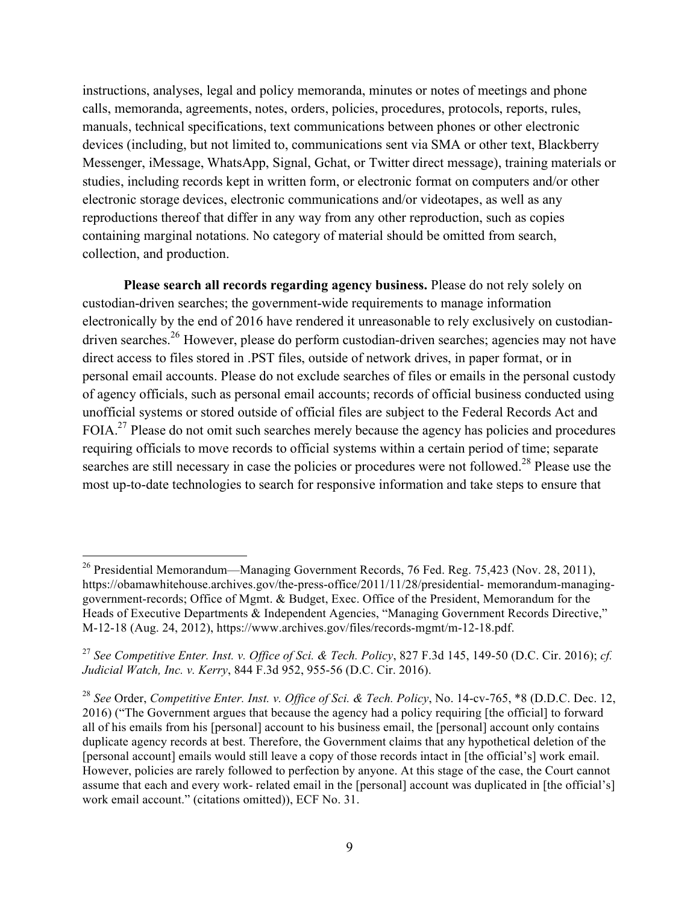instructions, analyses, legal and policy memoranda, minutes or notes of meetings and phone calls, memoranda, agreements, notes, orders, policies, procedures, protocols, reports, rules, manuals, technical specifications, text communications between phones or other electronic devices (including, but not limited to, communications sent via SMA or other text, Blackberry Messenger, iMessage, WhatsApp, Signal, Gchat, or Twitter direct message), training materials or studies, including records kept in written form, or electronic format on computers and/or other electronic storage devices, electronic communications and/or videotapes, as well as any reproductions thereof that differ in any way from any other reproduction, such as copies containing marginal notations. No category of material should be omitted from search, collection, and production.

**Please search all records regarding agency business.** Please do not rely solely on custodian-driven searches; the government-wide requirements to manage information electronically by the end of 2016 have rendered it unreasonable to rely exclusively on custodiandriven searches.<sup>26</sup> However, please do perform custodian-driven searches; agencies may not have direct access to files stored in .PST files, outside of network drives, in paper format, or in personal email accounts. Please do not exclude searches of files or emails in the personal custody of agency officials, such as personal email accounts; records of official business conducted using unofficial systems or stored outside of official files are subject to the Federal Records Act and FOIA.<sup>27</sup> Please do not omit such searches merely because the agency has policies and procedures requiring officials to move records to official systems within a certain period of time; separate searches are still necessary in case the policies or procedures were not followed.<sup>28</sup> Please use the most up-to-date technologies to search for responsive information and take steps to ensure that

<sup>&</sup>lt;sup>26</sup> Presidential Memorandum—Managing Government Records, 76 Fed. Reg. 75,423 (Nov. 28, 2011), https://obamawhitehouse.archives.gov/the-press-office/2011/11/28/presidential- memorandum-managinggovernment-records; Office of Mgmt. & Budget, Exec. Office of the President, Memorandum for the Heads of Executive Departments & Independent Agencies, "Managing Government Records Directive," M-12-18 (Aug. 24, 2012), https://www.archives.gov/files/records-mgmt/m-12-18.pdf.

<sup>27</sup> *See Competitive Enter. Inst. v. Office of Sci. & Tech. Policy*, 827 F.3d 145, 149-50 (D.C. Cir. 2016); *cf. Judicial Watch, Inc. v. Kerry*, 844 F.3d 952, 955-56 (D.C. Cir. 2016).

<sup>28</sup> *See* Order, *Competitive Enter. Inst. v. Office of Sci. & Tech. Policy*, No. 14-cv-765, \*8 (D.D.C. Dec. 12, 2016) ("The Government argues that because the agency had a policy requiring [the official] to forward all of his emails from his [personal] account to his business email, the [personal] account only contains duplicate agency records at best. Therefore, the Government claims that any hypothetical deletion of the [personal account] emails would still leave a copy of those records intact in [the official's] work email. However, policies are rarely followed to perfection by anyone. At this stage of the case, the Court cannot assume that each and every work- related email in the [personal] account was duplicated in [the official's] work email account." (citations omitted)), ECF No. 31.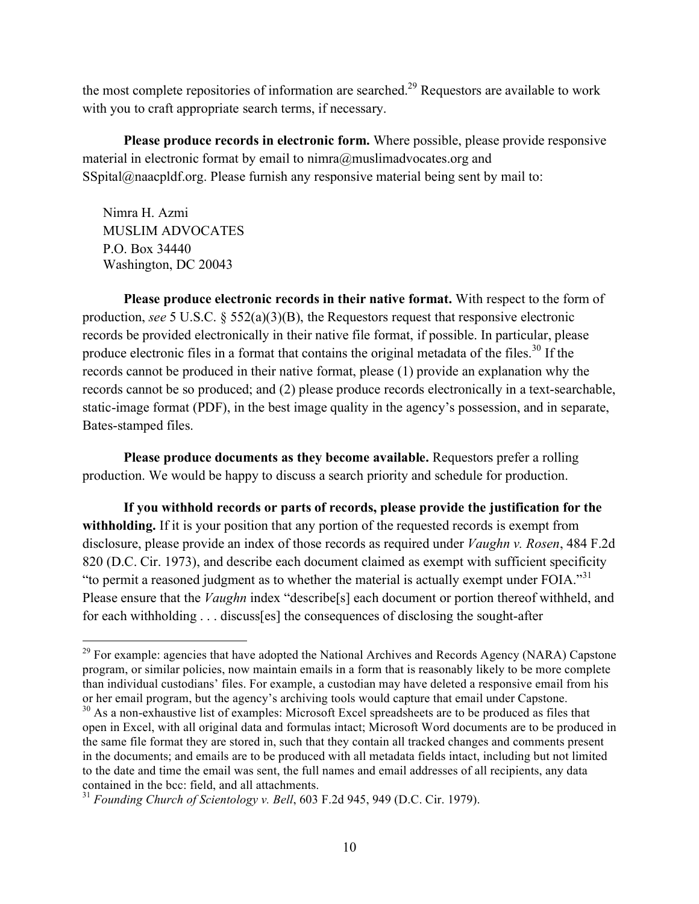the most complete repositories of information are searched.<sup>29</sup> Requestors are available to work with you to craft appropriate search terms, if necessary.

**Please produce records in electronic form.** Where possible, please provide responsive material in electronic format by email to nimra@muslimadvocates.org and SSpital@naacpldf.org. Please furnish any responsive material being sent by mail to:

Nimra H. Azmi MUSLIM ADVOCATES P.O. Box 34440 Washington, DC 20043

**Please produce electronic records in their native format.** With respect to the form of production, *see* 5 U.S.C. § 552(a)(3)(B), the Requestors request that responsive electronic records be provided electronically in their native file format, if possible. In particular, please produce electronic files in a format that contains the original metadata of the files.<sup>30</sup> If the records cannot be produced in their native format, please (1) provide an explanation why the records cannot be so produced; and (2) please produce records electronically in a text-searchable, static-image format (PDF), in the best image quality in the agency's possession, and in separate, Bates-stamped files.

**Please produce documents as they become available.** Requestors prefer a rolling production. We would be happy to discuss a search priority and schedule for production.

**If you withhold records or parts of records, please provide the justification for the withholding.** If it is your position that any portion of the requested records is exempt from disclosure, please provide an index of those records as required under *Vaughn v. Rosen*, 484 F.2d 820 (D.C. Cir. 1973), and describe each document claimed as exempt with sufficient specificity "to permit a reasoned judgment as to whether the material is actually exempt under FOIA."<sup>31</sup> Please ensure that the *Vaughn* index "describe[s] each document or portion thereof withheld, and for each withholding . . . discuss[es] the consequences of disclosing the sought-after

<sup>&</sup>lt;sup>29</sup> For example: agencies that have adopted the National Archives and Records Agency (NARA) Capstone program, or similar policies, now maintain emails in a form that is reasonably likely to be more complete than individual custodians' files. For example, a custodian may have deleted a responsive email from his or her email program, but the agency's archiving tools would capture that email under Capstone.

<sup>&</sup>lt;sup>30</sup> As a non-exhaustive list of examples: Microsoft Excel spreadsheets are to be produced as files that open in Excel, with all original data and formulas intact; Microsoft Word documents are to be produced in the same file format they are stored in, such that they contain all tracked changes and comments present in the documents; and emails are to be produced with all metadata fields intact, including but not limited to the date and time the email was sent, the full names and email addresses of all recipients, any data contained in the bcc: field, and all attachments.

<sup>31</sup> *Founding Church of Scientology v. Bell*, 603 F.2d 945, 949 (D.C. Cir. 1979).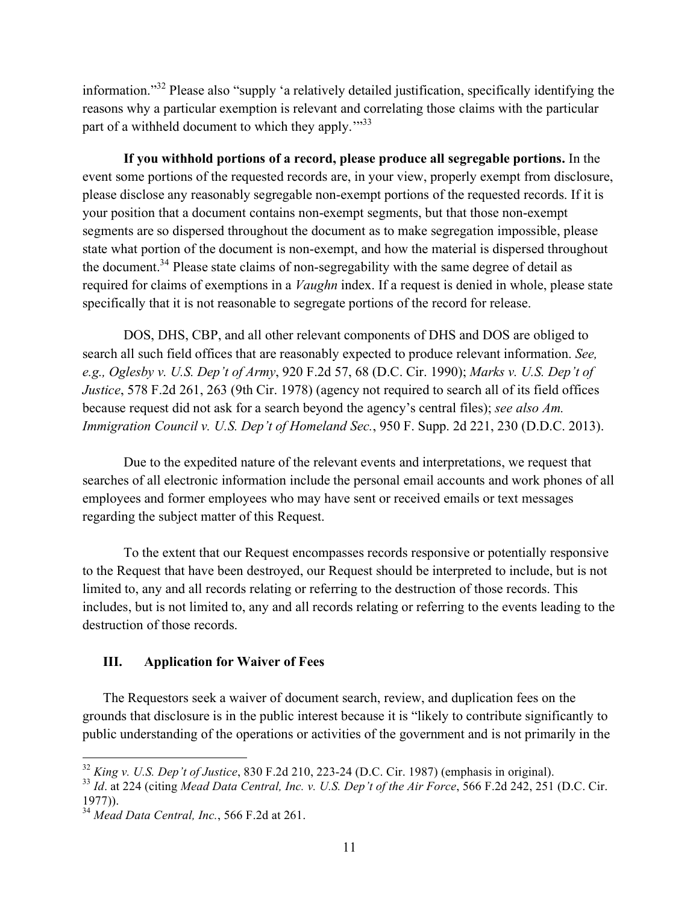information."32 Please also "supply 'a relatively detailed justification, specifically identifying the reasons why a particular exemption is relevant and correlating those claims with the particular part of a withheld document to which they apply."<sup>33</sup>

**If you withhold portions of a record, please produce all segregable portions.** In the event some portions of the requested records are, in your view, properly exempt from disclosure, please disclose any reasonably segregable non-exempt portions of the requested records. If it is your position that a document contains non-exempt segments, but that those non-exempt segments are so dispersed throughout the document as to make segregation impossible, please state what portion of the document is non-exempt, and how the material is dispersed throughout the document.<sup>34</sup> Please state claims of non-segregability with the same degree of detail as required for claims of exemptions in a *Vaughn* index. If a request is denied in whole, please state specifically that it is not reasonable to segregate portions of the record for release.

DOS, DHS, CBP, and all other relevant components of DHS and DOS are obliged to search all such field offices that are reasonably expected to produce relevant information. *See, e.g., Oglesby v. U.S. Dep't of Army*, 920 F.2d 57, 68 (D.C. Cir. 1990); *Marks v. U.S. Dep't of Justice*, 578 F.2d 261, 263 (9th Cir. 1978) (agency not required to search all of its field offices because request did not ask for a search beyond the agency's central files); *see also Am. Immigration Council v. U.S. Dep't of Homeland Sec.*, 950 F. Supp. 2d 221, 230 (D.D.C. 2013).

Due to the expedited nature of the relevant events and interpretations, we request that searches of all electronic information include the personal email accounts and work phones of all employees and former employees who may have sent or received emails or text messages regarding the subject matter of this Request.

To the extent that our Request encompasses records responsive or potentially responsive to the Request that have been destroyed, our Request should be interpreted to include, but is not limited to, any and all records relating or referring to the destruction of those records. This includes, but is not limited to, any and all records relating or referring to the events leading to the destruction of those records.

### **III. Application for Waiver of Fees**

The Requestors seek a waiver of document search, review, and duplication fees on the grounds that disclosure is in the public interest because it is "likely to contribute significantly to public understanding of the operations or activities of the government and is not primarily in the

 <sup>32</sup> *King v. U.S. Dep't of Justice*, <sup>830</sup> F.2d 210, 223-24 (D.C. Cir. 1987) (emphasis in original).

<sup>33</sup> *Id*. at 224 (citing *Mead Data Central, Inc. v. U.S. Dep't of the Air Force*, 566 F.2d 242, 251 (D.C. Cir. 1977)).

<sup>34</sup> *Mead Data Central, Inc.*, 566 F.2d at 261.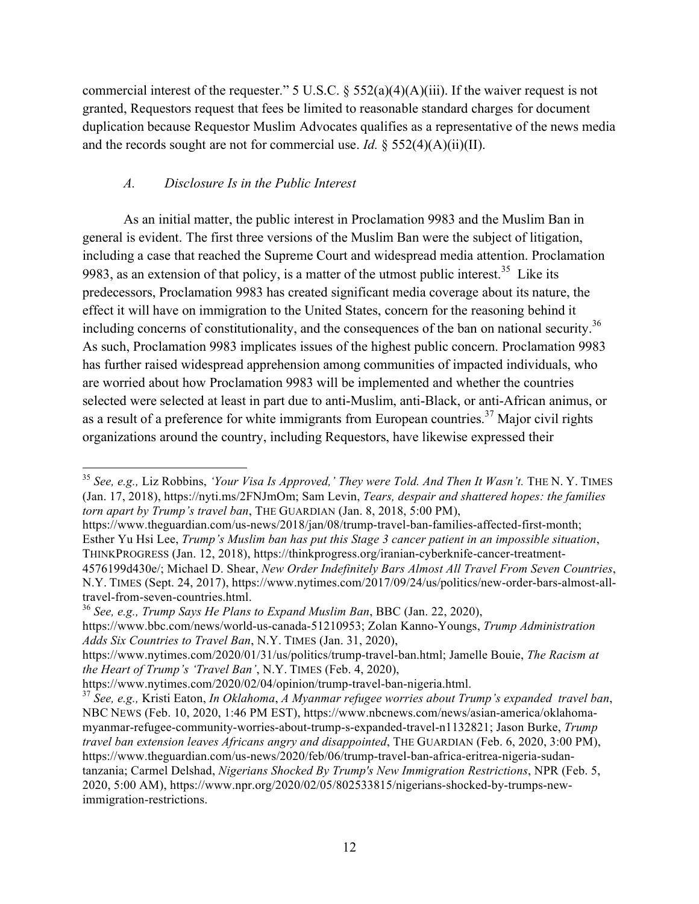commercial interest of the requester." 5 U.S.C.  $\S$  552(a)(4)(A)(iii). If the waiver request is not granted, Requestors request that fees be limited to reasonable standard charges for document duplication because Requestor Muslim Advocates qualifies as a representative of the news media and the records sought are not for commercial use. *Id.* §  $552(4)(A)(ii)(II)$ .

## *A. Disclosure Is in the Public Interest*

As an initial matter, the public interest in Proclamation 9983 and the Muslim Ban in general is evident. The first three versions of the Muslim Ban were the subject of litigation, including a case that reached the Supreme Court and widespread media attention. Proclamation 9983, as an extension of that policy, is a matter of the utmost public interest.<sup>35</sup> Like its predecessors, Proclamation 9983 has created significant media coverage about its nature, the effect it will have on immigration to the United States, concern for the reasoning behind it including concerns of constitutionality, and the consequences of the ban on national security.<sup>36</sup> As such, Proclamation 9983 implicates issues of the highest public concern. Proclamation 9983 has further raised widespread apprehension among communities of impacted individuals, who are worried about how Proclamation 9983 will be implemented and whether the countries selected were selected at least in part due to anti-Muslim, anti-Black, or anti-African animus, or as a result of a preference for white immigrants from European countries.<sup>37</sup> Major civil rights organizations around the country, including Requestors, have likewise expressed their

<sup>36</sup> *See, e.g., Trump Says He Plans to Expand Muslim Ban*, BBC (Jan. 22, 2020),

 <sup>35</sup> *See, e.g.,* Liz Robbins, *'Your Visa Is Approved,' They were Told. And Then It Wasn't.* THE N. Y. TIMES (Jan. 17, 2018), https://nyti.ms/2FNJmOm; Sam Levin, *Tears, despair and shattered hopes: the families torn apart by Trump's travel ban*, THE GUARDIAN (Jan. 8, 2018, 5:00 PM),

https://www.theguardian.com/us-news/2018/jan/08/trump-travel-ban-families-affected-first-month; Esther Yu Hsi Lee, *Trump's Muslim ban has put this Stage 3 cancer patient in an impossible situation*, THINKPROGRESS (Jan. 12, 2018), https://thinkprogress.org/iranian-cyberknife-cancer-treatment-

<sup>4576199</sup>d430e/; Michael D. Shear, *New Order Indefinitely Bars Almost All Travel From Seven Countries*, N.Y. TIMES (Sept. 24, 2017), https://www.nytimes.com/2017/09/24/us/politics/new-order-bars-almost-alltravel-from-seven-countries.html.

https://www.bbc.com/news/world-us-canada-51210953; Zolan Kanno-Youngs, *Trump Administration Adds Six Countries to Travel Ban*, N.Y. TIMES (Jan. 31, 2020),

https://www.nytimes.com/2020/01/31/us/politics/trump-travel-ban.html; Jamelle Bouie, *The Racism at the Heart of Trump's 'Travel Ban'*, N.Y. TIMES (Feb. 4, 2020),

https://www.nytimes.com/2020/02/04/opinion/trump-travel-ban-nigeria.html.

<sup>37</sup> *See, e.g.,* Kristi Eaton, *In Oklahoma*, *A Myanmar refugee worries about Trump's expanded travel ban*, NBC NEWS (Feb. 10, 2020, 1:46 PM EST), https://www.nbcnews.com/news/asian-america/oklahomamyanmar-refugee-community-worries-about-trump-s-expanded-travel-n1132821; Jason Burke, *Trump travel ban extension leaves Africans angry and disappointed*, THE GUARDIAN (Feb. 6, 2020, 3:00 PM), https://www.theguardian.com/us-news/2020/feb/06/trump-travel-ban-africa-eritrea-nigeria-sudantanzania; Carmel Delshad, *Nigerians Shocked By Trump's New Immigration Restrictions*, NPR (Feb. 5, 2020, 5:00 AM), https://www.npr.org/2020/02/05/802533815/nigerians-shocked-by-trumps-newimmigration-restrictions.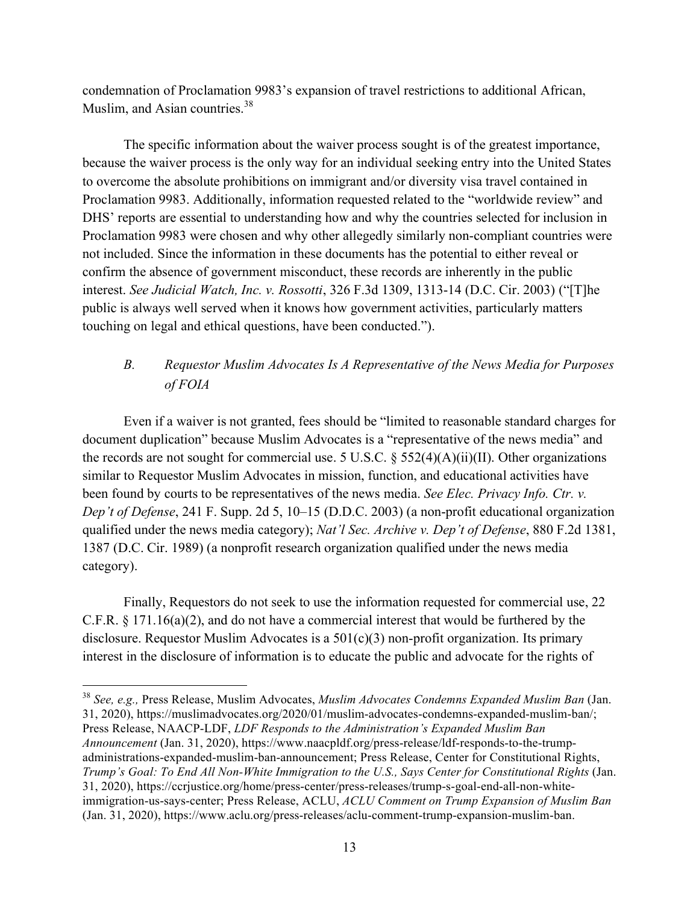condemnation of Proclamation 9983's expansion of travel restrictions to additional African, Muslim, and Asian countries.<sup>38</sup>

The specific information about the waiver process sought is of the greatest importance, because the waiver process is the only way for an individual seeking entry into the United States to overcome the absolute prohibitions on immigrant and/or diversity visa travel contained in Proclamation 9983. Additionally, information requested related to the "worldwide review" and DHS' reports are essential to understanding how and why the countries selected for inclusion in Proclamation 9983 were chosen and why other allegedly similarly non-compliant countries were not included. Since the information in these documents has the potential to either reveal or confirm the absence of government misconduct, these records are inherently in the public interest. *See Judicial Watch, Inc. v. Rossotti*, 326 F.3d 1309, 1313-14 (D.C. Cir. 2003) ("[T]he public is always well served when it knows how government activities, particularly matters touching on legal and ethical questions, have been conducted.").

# *B. Requestor Muslim Advocates Is A Representative of the News Media for Purposes of FOIA*

Even if a waiver is not granted, fees should be "limited to reasonable standard charges for document duplication" because Muslim Advocates is a "representative of the news media" and the records are not sought for commercial use. 5 U.S.C.  $\S$  552(4)(A)(ii)(II). Other organizations similar to Requestor Muslim Advocates in mission, function, and educational activities have been found by courts to be representatives of the news media. *See Elec. Privacy Info. Ctr. v. Dep't of Defense*, 241 F. Supp. 2d 5, 10–15 (D.D.C. 2003) (a non-profit educational organization qualified under the news media category); *Nat'l Sec. Archive v. Dep't of Defense*, 880 F.2d 1381, 1387 (D.C. Cir. 1989) (a nonprofit research organization qualified under the news media category).

Finally, Requestors do not seek to use the information requested for commercial use, 22 C.F.R. § 171.16(a)(2), and do not have a commercial interest that would be furthered by the disclosure. Requestor Muslim Advocates is a 501(c)(3) non-profit organization. Its primary interest in the disclosure of information is to educate the public and advocate for the rights of

 <sup>38</sup> *See, e.g.,* Press Release, Muslim Advocates, *Muslim Advocates Condemns Expanded Muslim Ban* (Jan. 31, 2020), https://muslimadvocates.org/2020/01/muslim-advocates-condemns-expanded-muslim-ban/; Press Release, NAACP-LDF, *LDF Responds to the Administration's Expanded Muslim Ban Announcement* (Jan. 31, 2020), https://www.naacpldf.org/press-release/ldf-responds-to-the-trumpadministrations-expanded-muslim-ban-announcement; Press Release, Center for Constitutional Rights, *Trump's Goal: To End All Non-White Immigration to the U.S., Says Center for Constitutional Rights* (Jan. 31, 2020), https://ccrjustice.org/home/press-center/press-releases/trump-s-goal-end-all-non-whiteimmigration-us-says-center; Press Release, ACLU, *ACLU Comment on Trump Expansion of Muslim Ban* (Jan. 31, 2020), https://www.aclu.org/press-releases/aclu-comment-trump-expansion-muslim-ban.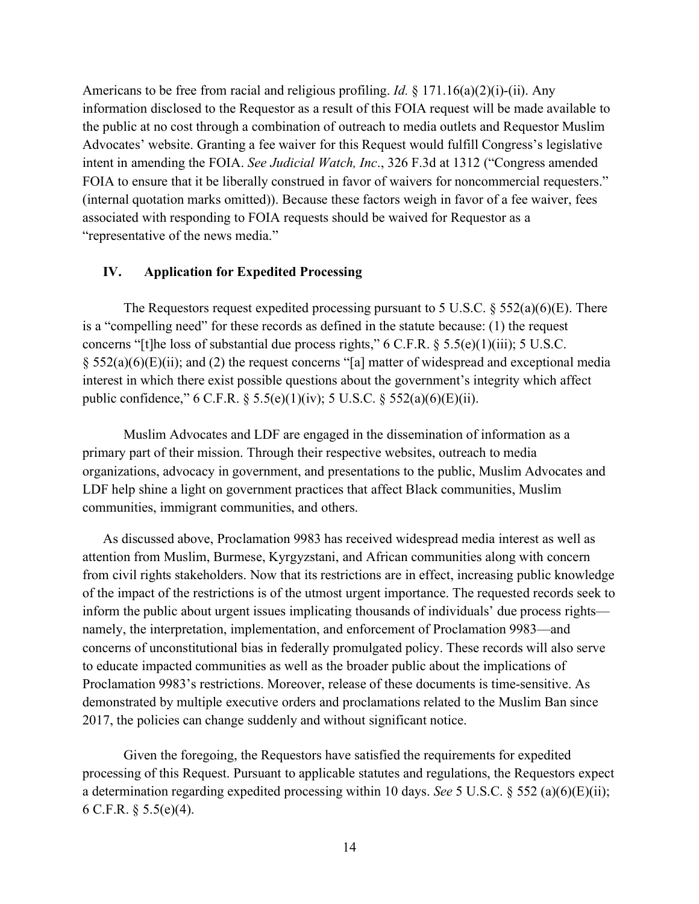Americans to be free from racial and religious profiling. *Id.* § 171.16(a)(2)(i)-(ii). Any information disclosed to the Requestor as a result of this FOIA request will be made available to the public at no cost through a combination of outreach to media outlets and Requestor Muslim Advocates' website. Granting a fee waiver for this Request would fulfill Congress's legislative intent in amending the FOIA. *See Judicial Watch, Inc*., 326 F.3d at 1312 ("Congress amended FOIA to ensure that it be liberally construed in favor of waivers for noncommercial requesters." (internal quotation marks omitted)). Because these factors weigh in favor of a fee waiver, fees associated with responding to FOIA requests should be waived for Requestor as a "representative of the news media."

#### **IV. Application for Expedited Processing**

The Requestors request expedited processing pursuant to 5 U.S.C.  $\S 552(a)(6)(E)$ . There is a "compelling need" for these records as defined in the statute because: (1) the request concerns "[t]he loss of substantial due process rights," 6 C.F.R. § 5.5(e)(1)(iii); 5 U.S.C.  $\S$  552(a)(6)(E)(ii); and (2) the request concerns "[a] matter of widespread and exceptional media interest in which there exist possible questions about the government's integrity which affect public confidence," 6 C.F.R. § 5.5(e)(1)(iv); 5 U.S.C. § 552(a)(6)(E)(ii).

Muslim Advocates and LDF are engaged in the dissemination of information as a primary part of their mission. Through their respective websites, outreach to media organizations, advocacy in government, and presentations to the public, Muslim Advocates and LDF help shine a light on government practices that affect Black communities, Muslim communities, immigrant communities, and others.

As discussed above, Proclamation 9983 has received widespread media interest as well as attention from Muslim, Burmese, Kyrgyzstani, and African communities along with concern from civil rights stakeholders. Now that its restrictions are in effect, increasing public knowledge of the impact of the restrictions is of the utmost urgent importance. The requested records seek to inform the public about urgent issues implicating thousands of individuals' due process rights namely, the interpretation, implementation, and enforcement of Proclamation 9983—and concerns of unconstitutional bias in federally promulgated policy. These records will also serve to educate impacted communities as well as the broader public about the implications of Proclamation 9983's restrictions. Moreover, release of these documents is time-sensitive. As demonstrated by multiple executive orders and proclamations related to the Muslim Ban since 2017, the policies can change suddenly and without significant notice.

Given the foregoing, the Requestors have satisfied the requirements for expedited processing of this Request. Pursuant to applicable statutes and regulations, the Requestors expect a determination regarding expedited processing within 10 days. *See* 5 U.S.C. § 552 (a)(6)(E)(ii); 6 C.F.R. § 5.5(e)(4).